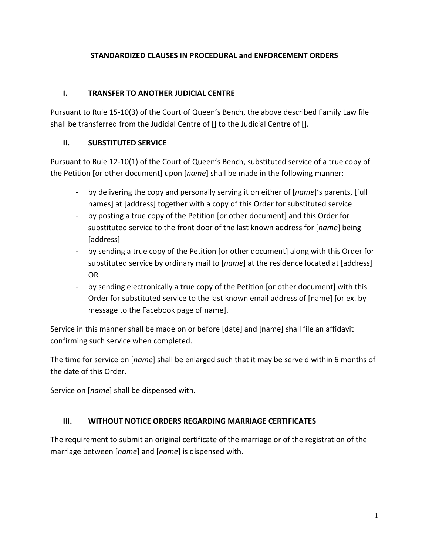## **STANDARDIZED CLAUSES IN PROCEDURAL and ENFORCEMENT ORDERS**

### **I. TRANSFER TO ANOTHER JUDICIAL CENTRE**

Pursuant to Rule 15-10(3) of the Court of Queen's Bench, the above described Family Law file shall be transferred from the Judicial Centre of [] to the Judicial Centre of [].

## **II. SUBSTITUTED SERVICE**

Pursuant to Rule 12-10(1) of the Court of Queen's Bench, substituted service of a true copy of the Petition [or other document] upon [*name*] shall be made in the following manner:

- by delivering the copy and personally serving it on either of [*name*]'s parents, [full names] at [address] together with a copy of this Order for substituted service
- by posting a true copy of the Petition [or other document] and this Order for substituted service to the front door of the last known address for [*name*] being [address]
- by sending a true copy of the Petition [or other document] along with this Order for substituted service by ordinary mail to [*name*] at the residence located at [address] OR
- by sending electronically a true copy of the Petition [or other document] with this Order for substituted service to the last known email address of [name] [or ex. by message to the Facebook page of name].

Service in this manner shall be made on or before [date] and [name] shall file an affidavit confirming such service when completed.

The time for service on [*name*] shall be enlarged such that it may be serve d within 6 months of the date of this Order.

Service on [*name*] shall be dispensed with.

#### **III. WITHOUT NOTICE ORDERS REGARDING MARRIAGE CERTIFICATES**

The requirement to submit an original certificate of the marriage or of the registration of the marriage between [*name*] and [*name*] is dispensed with.